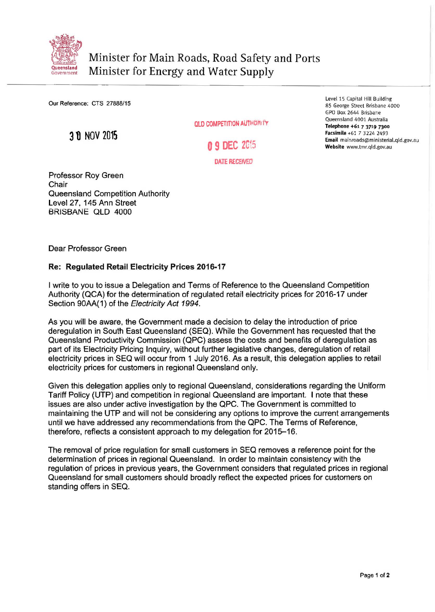

Our Reference: CTS 27888/15

31) NOV 2015

OLD COMPETITION AUTHORITY

**0 9 DEC** 2G15

DATE RECEIVED

Professor Roy Green Chair Queensland Competition Authority Level 27, 145 Ann Street BRISBANE OLD 4000

Level 15 Capital Hill Building 85 George Street Brisbane 4000 GPO Box 2644 Brisbane Queensland 4001 Australia Telephone +61 7 3719 7300 Facsimile +61 7 3224 2493 Email mainroads@ministerial.qld.gov.au Website www.tmr.qld.gov.au

Dear Professor Green

## Re: Regulated Retail Electricity Prices 2016-17

I write to you to issue a Delegation and Terms of Reference to the Queensland Competition Authority (QCA) for the determination of regulated retail electricity prices for 2016-17 under Section 90AA(1) of the Electricity Act 1994.

As you will be aware, the Government made a decision to delay the introduction of price deregulation in South East Queensland (SEQ). While the Government has requested that the Queensland Productivity Commission (QPC) assess the costs and benefits of deregulation as part of its Electricity Pricing Inquiry, without further legislative changes, deregulation of retail electricity prices in SEQ will occur from 1 July 2016. As a result, this delegation applies to retail electricity prices for customers in regional Queensland only.

Given this delegation applies only to regional Queensland, considerations regarding the Uniform Tariff Policy (UTP) and competition in regional Queensland are important. I note that these issues are also under active investigation by the QPC. The Government is committed to maintaining the UTP and will not be considering any options to improve the current arrangements until we have addressed any recommendation's from the QPC. The Terms of Reference, therefore, reflects a consistent approach to my delegation for 2015-16.

The removal of price regulation for small customers in SEQ removes a reference point for the determination of prices in regional Queensland. In order to maintain consistency with the regulation of prices in previous years, the Government considers that regulated prices in regional Queensland for small customers should broadly reflect the expected prices for customers on standing offers in SEQ.